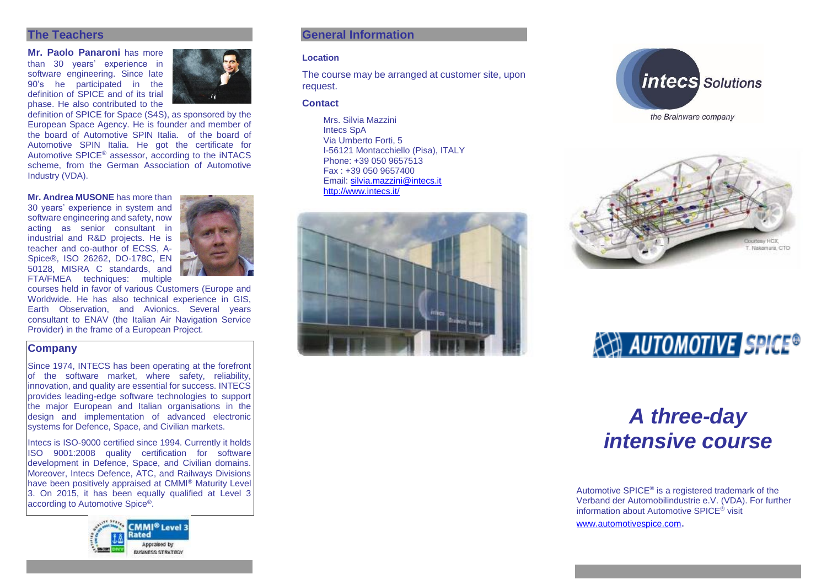#### **The Teachers**

**Mr. Paolo Panaroni** has more than 30 years' experience in software engineering. Since late 90's he participated in the definition of SPICE and of its trial phase. He also contributed to the



definition of SPICE for Space (S4S), as sponsored by the European Space Agency. He is founder and member of the board of Automotive SPIN Italia. of the board of Automotive SPIN Italia. He got the certificate for Automotive SPICE® assessor, according to the iNTACS scheme, from the German Association of Automotive Industry (VDA).

**Mr. Andrea MUSONE** has more than 30 years' experience in system and software engineering and safety, now acting as senior consultant in industrial and R&D projects. He is teacher and co-author of ECSS, A-Spice®, ISO 26262, DO-178C, EN 50128, MISRA C standards, and FTA/FMEA techniques: multiple



courses held in favor of various Customers (Europe and Worldwide. He has also technical experience in GIS, Earth Observation, and Avionics. Several years consultant to ENAV (the Italian Air Navigation Service Provider) in the frame of a European Project.

# **Company**

Since 1974, INTECS has been operating at the forefront of the software market, where safety, reliability, innovation, and quality are essential for success. INTECS provides leading-edge software technologies to support the major European and Italian organisations in the design and implementation of advanced electronic systems for Defence, Space, and Civilian markets.

Intecs is ISO-9000 certified since 1994. Currently it holds ISO 9001:2008 quality certification for software development in Defence, Space, and Civilian domains. Moreover, Intecs Defence, ATC, and Railways Divisions have been positively appraised at CMMI® Maturity Level 3. On 2015, it has been equally qualified at Level 3 according to Automotive Spice®.



# **General Information**

#### **Location**

The course may be arranged at customer site, upon request.

#### **Contact**

Mrs. Silvia Mazzini Intecs SpA Via Umberto Forti, 5 I-56121 Montacchiello (Pisa), ITALY Phone: +39 050 9657513 Fax : +39 050 9657400 Email: [silvia.mazzini@intecs.it](mailto:andrea.musone@intecs.it) <http://www.intecs.it/>







# **AN AUTOMOTIVE SPICE®**

# *A three-day intensive course*

Automotive SPICE<sup>®</sup> is a registered trademark of the Verband der Automobilindustrie e.V. (VDA). For further information about Automotive SPICE® visit [www.automotivespice.com](http://www.automotivespice.com/).